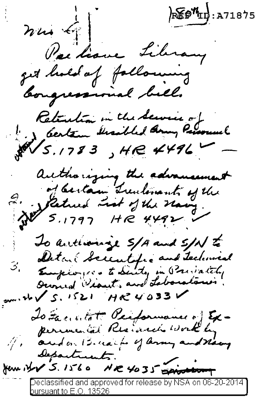$\mathcal{E}$   $\mathcal{H}_{\mathrm{II}}$ : A71875  $n\omega\leftarrow$ Packane Library get hold of following bougressional bell. Retention in the Service of authorizing the advancement 2. Saturd Ludovant of the To authoring S/A and S/N to Detail Security and Technical 3. Employees to Suite in President  $200.46\sqrt{5.1521}$  He 4033 To Facilitat Performance of Expermanental Resident work by 1/1 and on 12 marts of larmy and navy Separtrick. Jem it V 5. 1560 NR 4035 Spisolen Declassified and approved for release by NSA on 06-20-2014

bursuant to E.O. 13526